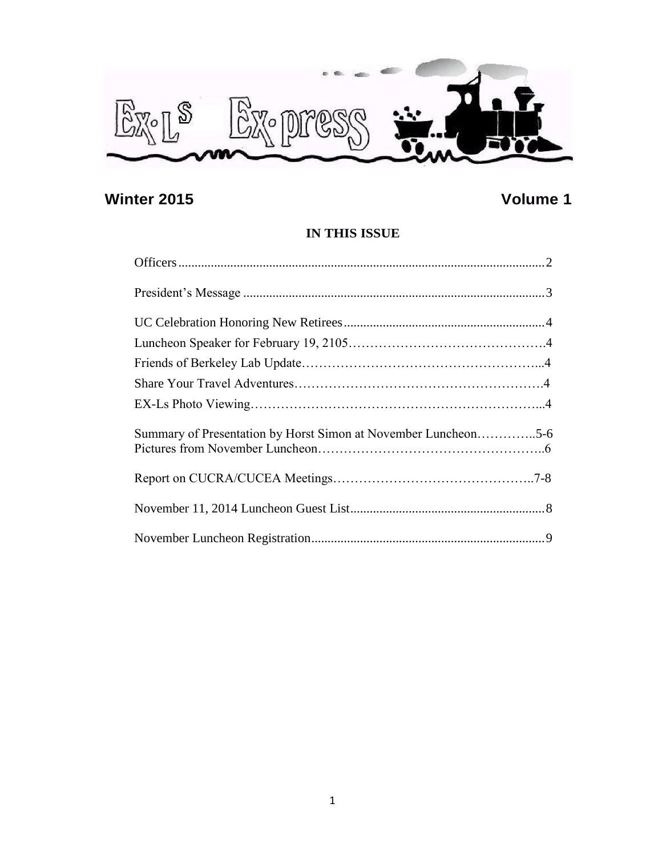

# **Winter 2015 Volume 1**

## **IN THIS ISSUE**

| Summary of Presentation by Horst Simon at November Luncheon5-6 |  |
|----------------------------------------------------------------|--|
|                                                                |  |
|                                                                |  |
|                                                                |  |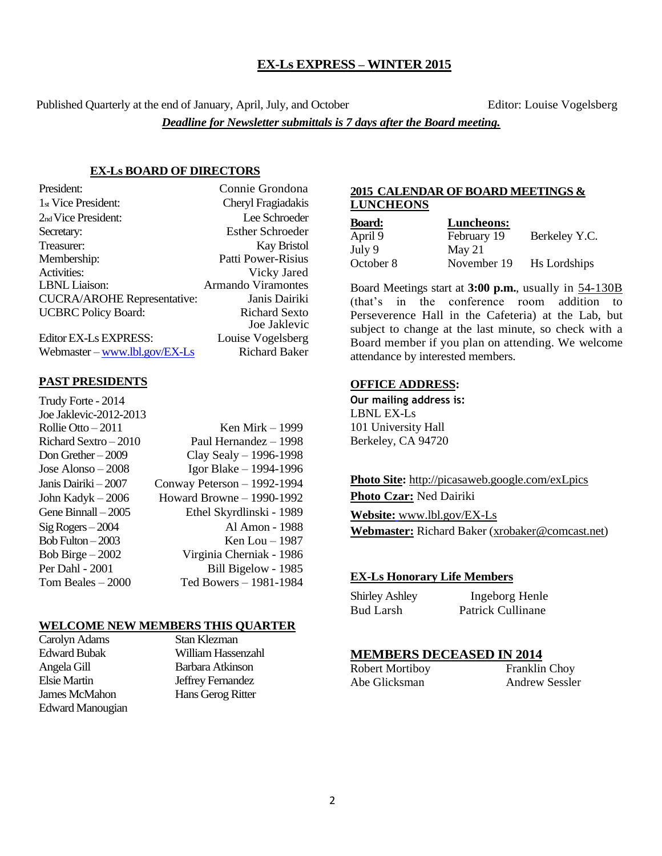#### **EX-Ls EXPRESS – WINTER 2015**

Published Quarterly at the end of January, April, July, and October Editor: Louise Vogelsberg

*Deadline for Newsletter submittals is 7 days after the Board meeting.*

#### **EX-Ls BOARD OF DIRECTORS**

| President:                         | Connie Grondona           |
|------------------------------------|---------------------------|
| 1 <sub>st</sub> Vice President:    | Cheryl Fragiadakis        |
| 2 <sub>nd</sub> Vice President:    | Lee Schroeder             |
| Secretary:                         | <b>Esther Schroeder</b>   |
| Treasurer:                         | <b>Kay Bristol</b>        |
| Membership:                        | Patti Power-Risius        |
| Activities:                        | Vicky Jared               |
| <b>LBNL</b> Liaison:               | <b>Armando Viramontes</b> |
| <b>CUCRA/AROHE Representative:</b> | Janis Dairiki             |
| <b>UCBRC</b> Policy Board:         | <b>Richard Sexto</b>      |
|                                    | Joe Jaklevic              |
| Editor EX-Ls EXPRESS:              | Louise Vogelsberg         |

Webmaster – [www.lbl.gov/EX-Ls](http://www.lbl.gov/EX-Ls) Richard Baker

#### **PAST PRESIDENTS**

| Trudy Forte - 2014     |                             |
|------------------------|-----------------------------|
| Joe Jaklevic-2012-2013 |                             |
| Rollie Otto $-2011$    | Ken Mirk $-1999$            |
| Richard Sextro - 2010  | Paul Hernandez - 1998       |
| Don Grether $-2009$    | Clay Sealy $-$ 1996-1998    |
| Jose Alonso – 2008     | Igor Blake – 1994-1996      |
| Janis Dairiki – 2007   | Conway Peterson - 1992-1994 |
| John Kadyk – 2006      | Howard Browne - 1990-1992   |
| Gene Binnall – 2005    | Ethel Skyrdlinski - 1989    |
| $Sig Rogers - 2004$    | Al Amon - 1988              |
| Bob Fulton $-2003$     | Ken Lou $-1987$             |
| Bob Birge $-2002$      | Virginia Cherniak - 1986    |
| Per Dahl - 2001        | Bill Bigelow - 1985         |
| Tom Beales – 2000      | Ted Bowers - 1981-1984      |
|                        |                             |

#### **WELCOME NEW MEMBERS THIS QUARTER**

Carolyn Adams Stan Klezman Angela Gill Barbara Atkinson Elsie Martin Jeffrey Fernandez James McMahon Hans Gerog Ritter Edward Manougian

Edward Bubak William Hassenzahl

#### **2015 CALENDAR OF BOARD MEETINGS & LUNCHEONS**

| <b>Board:</b> | Luncheons:  |               |
|---------------|-------------|---------------|
| April 9       | February 19 | Berkeley Y.C. |
| July 9        | May 21      |               |
| October 8     | November 19 | Hs Lordships  |

Board Meetings start at **3:00 p.m.**, usually in 54-130B (that's in the conference room addition to Perseverence Hall in the Cafeteria) at the Lab, but subject to change at the last minute, so check with a Board member if you plan on attending. We welcome attendance by interested members.

#### **OFFICE ADDRESS:**

**Our mailing address is:** LBNL EX-Ls 101 University Hall Berkeley, CA 94720

**Photo Site:** http://picasaweb.google.com/exLpics **Photo Czar:** Ned Dairiki

**Website:** [www.lbl.gov/EX-Ls](http://www.lbl.gov/EX-Ls) **Webmaster:** Richard Baker [\(xrobaker@comcast.net\)](mailto:xrobaker@comcast.net)

#### **EX-Ls Honorary Life Members**

| <b>Shirley Ashley</b> | Ingeborg Henle    |
|-----------------------|-------------------|
| Bud Larsh             | Patrick Cullinane |

#### **MEMBERS DECEASED IN 2014**

Abe Glicksman Andrew Sessler

Robert Mortiboy Franklin Choy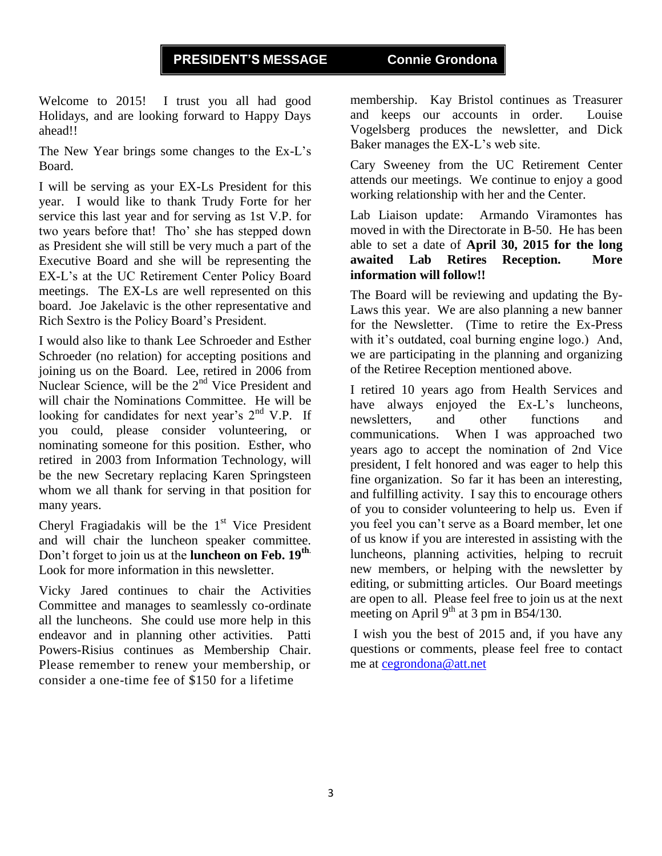Welcome to 2015! I trust you all had good Holidays, and are looking forward to Happy Days ahead!!

The New Year brings some changes to the Ex-L's Board.

I will be serving as your EX-Ls President for this year. I would like to thank Trudy Forte for her service this last year and for serving as 1st V.P. for two years before that! Tho' she has stepped down as President she will still be very much a part of the Executive Board and she will be representing the EX-L's at the UC Retirement Center Policy Board meetings. The EX-Ls are well represented on this board. Joe Jakelavic is the other representative and Rich Sextro is the Policy Board's President.

I would also like to thank Lee Schroeder and Esther Schroeder (no relation) for accepting positions and joining us on the Board. Lee, retired in 2006 from Nuclear Science, will be the  $2<sup>nd</sup>$  Vice President and will chair the Nominations Committee. He will be looking for candidates for next year's  $2<sup>nd</sup>$  V.P. If you could, please consider volunteering, or nominating someone for this position. Esther, who retired in 2003 from Information Technology, will be the new Secretary replacing Karen Springsteen whom we all thank for serving in that position for many years.

Cheryl Fragiadakis will be the  $1<sup>st</sup>$  Vice President and will chair the luncheon speaker committee. Don't forget to join us at the **luncheon on Feb. 19th**. Look for more information in this newsletter.

Vicky Jared continues to chair the Activities Committee and manages to seamlessly co-ordinate all the luncheons. She could use more help in this endeavor and in planning other activities. Patti Powers-Risius continues as Membership Chair. Please remember to renew your membership, or consider a one-time fee of \$150 for a lifetime

membership. Kay Bristol continues as Treasurer and keeps our accounts in order. Louise Vogelsberg produces the newsletter, and Dick Baker manages the EX-L's web site.

Cary Sweeney from the UC Retirement Center attends our meetings. We continue to enjoy a good working relationship with her and the Center.

Lab Liaison update: Armando Viramontes has moved in with the Directorate in B-50. He has been able to set a date of **April 30, 2015 for the long awaited Lab Retires Reception. More information will follow!!** 

The Board will be reviewing and updating the By-Laws this year. We are also planning a new banner for the Newsletter. (Time to retire the Ex-Press with it's outdated, coal burning engine logo.) And, we are participating in the planning and organizing of the Retiree Reception mentioned above.

I retired 10 years ago from Health Services and have always enjoyed the Ex-L's luncheons, newsletters, and other functions and communications. When I was approached two years ago to accept the nomination of 2nd Vice president, I felt honored and was eager to help this fine organization. So far it has been an interesting, and fulfilling activity. I say this to encourage others of you to consider volunteering to help us. Even if you feel you can't serve as a Board member, let one of us know if you are interested in assisting with the luncheons, planning activities, helping to recruit new members, or helping with the newsletter by editing, or submitting articles. Our Board meetings are open to all. Please feel free to join us at the next meeting on April  $9<sup>th</sup>$  at 3 pm in B54/130.

I wish you the best of 2015 and, if you have any questions or comments, please feel free to contact me at [cegrondona@att.net](mailto:cegrondona@att.net)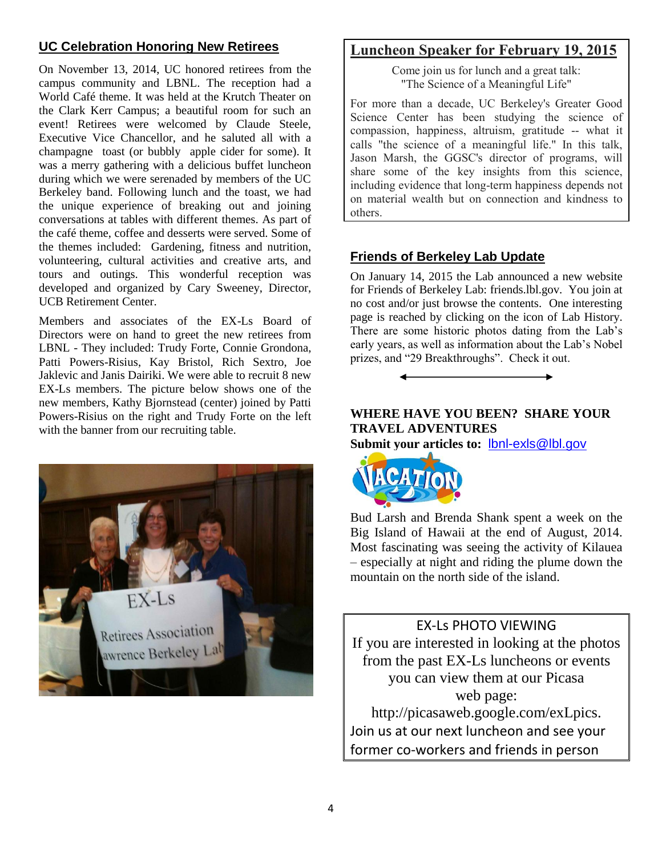## **UC Celebration Honoring New Retirees**

On November 13, 2014, UC honored retirees from the campus community and LBNL. The reception had a World Café theme. It was held at the Krutch Theater on the Clark Kerr Campus; a beautiful room for such an event! Retirees were welcomed by Claude Steele, Executive Vice Chancellor, and he saluted all with a champagne toast (or bubbly apple cider for some). It was a merry gathering with a delicious buffet luncheon during which we were serenaded by members of the UC Berkeley band. Following lunch and the toast, we had the unique experience of breaking out and joining conversations at tables with different themes. As part of the café theme, coffee and desserts were served. Some of the themes included: Gardening, fitness and nutrition, volunteering, cultural activities and creative arts, and tours and outings. This wonderful reception was developed and organized by Cary Sweeney, Director, UCB Retirement Center.

Members and associates of the EX-Ls Board of Directors were on hand to greet the new retirees from LBNL - They included: Trudy Forte, Connie Grondona, Patti Powers-Risius, Kay Bristol, Rich Sextro, Joe Jaklevic and Janis Dairiki. We were able to recruit 8 new EX-Ls members. The picture below shows one of the new members, Kathy Bjornstead (center) joined by Patti Powers-Risius on the right and Trudy Forte on the left with the banner from our recruiting table.



## **Luncheon Speaker for February 19, 2015**

Come join us for lunch and a great talk: "The Science of a Meaningful Life"

For more than a decade, UC Berkeley's Greater Good Science Center has been studying the science of compassion, happiness, altruism, gratitude -- what it calls "the science of a meaningful life." In this talk, Jason Marsh, the GGSC's director of programs, will share some of the key insights from this science, including evidence that long-term happiness depends not on material wealth but on connection and kindness to others.

## **Friends of Berkeley Lab Update**

On January 14, 2015 the Lab announced a new website for Friends of Berkeley Lab: friends.lbl.gov. You join at no cost and/or just browse the contents. One interesting page is reached by clicking on the icon of Lab History. There are some historic photos dating from the Lab's early years, as well as information about the Lab's Nobel prizes, and "29 Breakthroughs". Check it out.

## **WHERE HAVE YOU BEEN? SHARE YOUR TRAVEL ADVENTURES**

**Submit your articles to:** [lbnl-exls@lbl.gov](mailto:lbnl-exls@lbl.gov)



Bud Larsh and Brenda Shank spent a week on the Big Island of Hawaii at the end of August, 2014. Most fascinating was seeing the activity of Kilauea – especially at night and riding the plume down the mountain on the north side of the island.

EX-Ls PHOTO VIEWING If you are interested in looking at the photos from the past EX-Ls luncheons or events you can view them at our Picasa web page: http://picasaweb.google.com/exLpics. Join us at our next luncheon and see your former co-workers and friends in person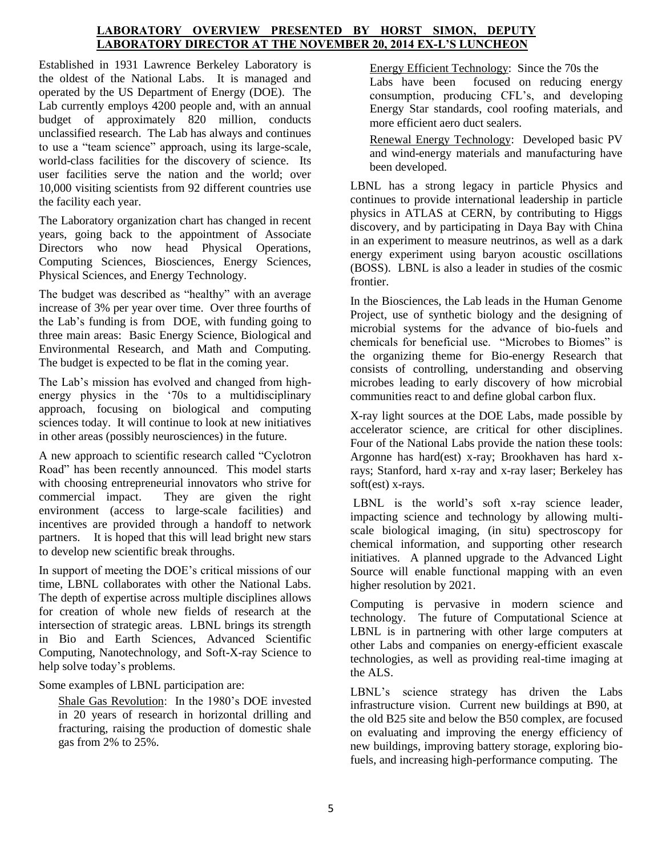#### **LABORATORY OVERVIEW PRESENTED BY HORST SIMON, DEPUTY LABORATORY DIRECTOR AT THE NOVEMBER 20, 2014 EX-L'S LUNCHEON**

Established in 1931 Lawrence Berkeley Laboratory is the oldest of the National Labs. It is managed and operated by the US Department of Energy (DOE). The Lab currently employs 4200 people and, with an annual budget of approximately 820 million, conducts unclassified research. The Lab has always and continues to use a "team science" approach, using its large-scale, world-class facilities for the discovery of science. Its user facilities serve the nation and the world; over 10,000 visiting scientists from 92 different countries use the facility each year.

The Laboratory organization chart has changed in recent years, going back to the appointment of Associate Directors who now head Physical Operations, Computing Sciences, Biosciences, Energy Sciences, Physical Sciences, and Energy Technology.

The budget was described as "healthy" with an average increase of 3% per year over time. Over three fourths of the Lab's funding is from DOE, with funding going to three main areas: Basic Energy Science, Biological and Environmental Research, and Math and Computing. The budget is expected to be flat in the coming year.

The Lab's mission has evolved and changed from highenergy physics in the '70s to a multidisciplinary approach, focusing on biological and computing sciences today. It will continue to look at new initiatives in other areas (possibly neurosciences) in the future.

A new approach to scientific research called "Cyclotron Road" has been recently announced. This model starts with choosing entrepreneurial innovators who strive for commercial impact. They are given the right environment (access to large-scale facilities) and incentives are provided through a handoff to network partners. It is hoped that this will lead bright new stars to develop new scientific break throughs.

In support of meeting the DOE's critical missions of our time, LBNL collaborates with other the National Labs. The depth of expertise across multiple disciplines allows for creation of whole new fields of research at the intersection of strategic areas. LBNL brings its strength in Bio and Earth Sciences, Advanced Scientific Computing, Nanotechnology, and Soft-X-ray Science to help solve today's problems.

Some examples of LBNL participation are:

Shale Gas Revolution: In the 1980's DOE invested in 20 years of research in horizontal drilling and fracturing, raising the production of domestic shale gas from 2% to 25%.

Energy Efficient Technology: Since the 70s the Labs have been focused on reducing energy consumption, producing CFL's, and developing Energy Star standards, cool roofing materials, and more efficient aero duct sealers.

Renewal Energy Technology: Developed basic PV and wind-energy materials and manufacturing have been developed.

LBNL has a strong legacy in particle Physics and continues to provide international leadership in particle physics in ATLAS at CERN, by contributing to Higgs discovery, and by participating in Daya Bay with China in an experiment to measure neutrinos, as well as a dark energy experiment using baryon acoustic oscillations (BOSS). LBNL is also a leader in studies of the cosmic frontier.

In the Biosciences, the Lab leads in the Human Genome Project, use of synthetic biology and the designing of microbial systems for the advance of bio-fuels and chemicals for beneficial use. "Microbes to Biomes" is the organizing theme for Bio-energy Research that consists of controlling, understanding and observing microbes leading to early discovery of how microbial communities react to and define global carbon flux.

X-ray light sources at the DOE Labs, made possible by accelerator science, are critical for other disciplines. Four of the National Labs provide the nation these tools: Argonne has hard(est) x-ray; Brookhaven has hard xrays; Stanford, hard x-ray and x-ray laser; Berkeley has soft(est) x-rays.

LBNL is the world's soft x-ray science leader, impacting science and technology by allowing multiscale biological imaging, (in situ) spectroscopy for chemical information, and supporting other research initiatives. A planned upgrade to the Advanced Light Source will enable functional mapping with an even higher resolution by 2021.

Computing is pervasive in modern science and technology. The future of Computational Science at LBNL is in partnering with other large computers at other Labs and companies on energy-efficient exascale technologies, as well as providing real-time imaging at the ALS.

LBNL's science strategy has driven the Labs infrastructure vision. Current new buildings at B90, at the old B25 site and below the B50 complex, are focused on evaluating and improving the energy efficiency of new buildings, improving battery storage, exploring biofuels, and increasing high-performance computing. The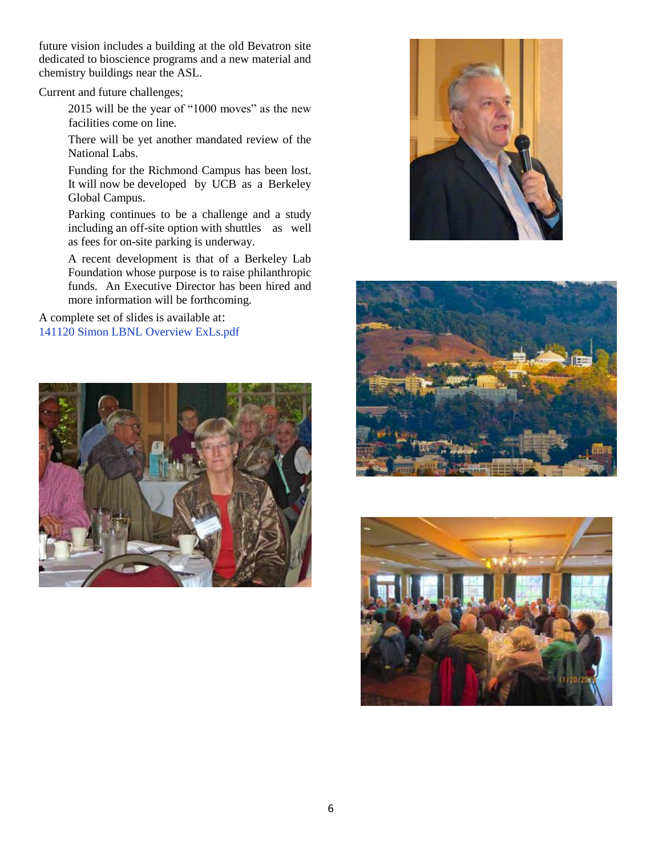future vision includes a building at the old Bevatron site dedicated to bioscience programs and a new material and chemistry buildings near the ASL.

Current and future challenges;

2015 will be the year of "1000 moves" as the new facilities come on line.

There will be yet another mandated review of the National Labs.

Funding for the Richmond Campus has been lost. It will now be developed by UCB as a Berkeley Global Campus.

Parking continues to be a challenge and a study including an off-site option with shuttles as well as fees for on-site parking is underway.

A recent development is that of a Berkeley Lab Foundation whose purpose is to raise philanthropic funds. An Executive Director has been hired and more information will be forthcoming.

A complete set of slides is available at: [141120 Simon LBNL Overview ExLs.pdf](https://docs.google.com/a/lbl.gov/file/d/0B7tfNexox_3daVJLVnA1UUxOME0/edit?usp=drive_web)







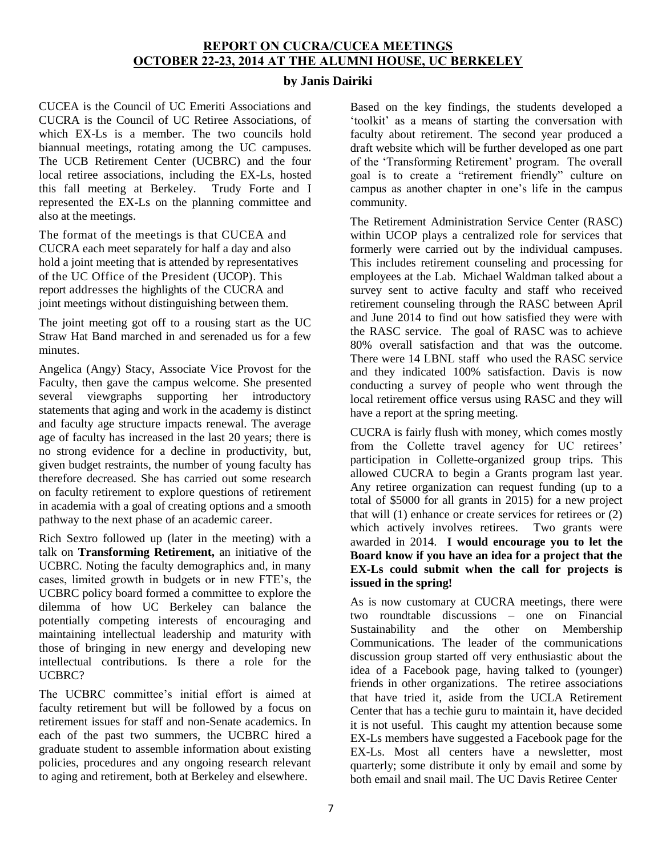### **REPORT ON CUCRA/CUCEA MEETINGS OCTOBER 22-23, 2014 AT THE ALUMNI HOUSE, UC BERKELEY**

#### **by Janis Dairiki**

CUCEA is the Council of UC Emeriti Associations and CUCRA is the Council of UC Retiree Associations, of which EX-Ls is a member. The two councils hold biannual meetings, rotating among the UC campuses. The UCB Retirement Center (UCBRC) and the four local retiree associations, including the EX-Ls, hosted this fall meeting at Berkeley. Trudy Forte and I represented the EX-Ls on the planning committee and also at the meetings.

The format of the meetings is that CUCEA and CUCRA each meet separately for half a day and also hold a joint meeting that is attended by representatives of the UC Office of the President (UCOP). This report addresses the highlights of the CUCRA and joint meetings without distinguishing between them.

The joint meeting got off to a rousing start as the UC Straw Hat Band marched in and serenaded us for a few minutes.

Angelica (Angy) Stacy, Associate Vice Provost for the Faculty, then gave the campus welcome. She presented several viewgraphs supporting her introductory statements that aging and work in the academy is distinct and faculty age structure impacts renewal. The average age of faculty has increased in the last 20 years; there is no strong evidence for a decline in productivity, but, given budget restraints, the number of young faculty has therefore decreased. She has carried out some research on faculty retirement to explore questions of retirement in academia with a goal of creating options and a smooth pathway to the next phase of an academic career.

Rich Sextro followed up (later in the meeting) with a talk on **Transforming Retirement,** an initiative of the UCBRC. Noting the faculty demographics and, in many cases, limited growth in budgets or in new FTE's, the UCBRC policy board formed a committee to explore the dilemma of how UC Berkeley can balance the potentially competing interests of encouraging and maintaining intellectual leadership and maturity with those of bringing in new energy and developing new intellectual contributions. Is there a role for the UCBRC?

The UCBRC committee's initial effort is aimed at faculty retirement but will be followed by a focus on retirement issues for staff and non-Senate academics. In each of the past two summers, the UCBRC hired a graduate student to assemble information about existing policies, procedures and any ongoing research relevant to aging and retirement, both at Berkeley and elsewhere.

Based on the key findings, the students developed a 'toolkit' as a means of starting the conversation with faculty about retirement. The second year produced a draft website which will be further developed as one part of the 'Transforming Retirement' program. The overall goal is to create a "retirement friendly" culture on campus as another chapter in one's life in the campus community.

The Retirement Administration Service Center (RASC) within UCOP plays a centralized role for services that formerly were carried out by the individual campuses. This includes retirement counseling and processing for employees at the Lab. Michael Waldman talked about a survey sent to active faculty and staff who received retirement counseling through the RASC between April and June 2014 to find out how satisfied they were with the RASC service. The goal of RASC was to achieve 80% overall satisfaction and that was the outcome. There were 14 LBNL staff who used the RASC service and they indicated 100% satisfaction. Davis is now conducting a survey of people who went through the local retirement office versus using RASC and they will have a report at the spring meeting.

CUCRA is fairly flush with money, which comes mostly from the Collette travel agency for UC retirees' participation in Collette-organized group trips. This allowed CUCRA to begin a Grants program last year. Any retiree organization can request funding (up to a total of \$5000 for all grants in 2015) for a new project that will (1) enhance or create services for retirees or (2) which actively involves retirees. Two grants were awarded in 2014. **I would encourage you to let the Board know if you have an idea for a project that the EX-Ls could submit when the call for projects is issued in the spring!**

As is now customary at CUCRA meetings, there were two roundtable discussions – one on Financial Sustainability and the other on Membership Communications. The leader of the communications discussion group started off very enthusiastic about the idea of a Facebook page, having talked to (younger) friends in other organizations. The retiree associations that have tried it, aside from the UCLA Retirement Center that has a techie guru to maintain it, have decided it is not useful. This caught my attention because some EX-Ls members have suggested a Facebook page for the EX-Ls. Most all centers have a newsletter, most quarterly; some distribute it only by email and some by both email and snail mail. The UC Davis Retiree Center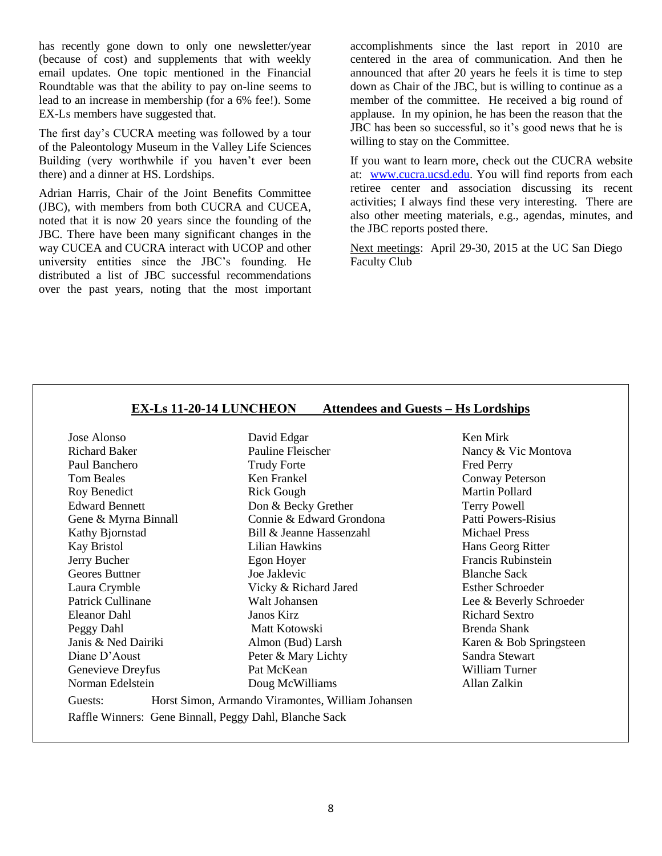has recently gone down to only one newsletter/year (because of cost) and supplements that with weekly email updates. One topic mentioned in the Financial Roundtable was that the ability to pay on-line seems to lead to an increase in membership (for a 6% fee!). Some EX-Ls members have suggested that.

The first day's CUCRA meeting was followed by a tour of the Paleontology Museum in the Valley Life Sciences Building (very worthwhile if you haven't ever been there) and a dinner at HS. Lordships.

Adrian Harris, Chair of the Joint Benefits Committee (JBC), with members from both CUCRA and CUCEA, noted that it is now 20 years since the founding of the JBC. There have been many significant changes in the way CUCEA and CUCRA interact with UCOP and other university entities since the JBC's founding. He distributed a list of JBC successful recommendations over the past years, noting that the most important accomplishments since the last report in 2010 are centered in the area of communication. And then he announced that after 20 years he feels it is time to step down as Chair of the JBC, but is willing to continue as a member of the committee. He received a big round of applause. In my opinion, he has been the reason that the JBC has been so successful, so it's good news that he is willing to stay on the Committee.

If you want to learn more, check out the CUCRA website at: [www.cucra.ucsd.edu.](http://www.cucra.ucsd.edu/) You will find reports from each retiree center and association discussing its recent activities; I always find these very interesting. There are also other meeting materials, e.g., agendas, minutes, and the JBC reports posted there.

Next meetings: April 29-30, 2015 at the UC San Diego Faculty Club

| Jose Alonso           | David Edgar                                       | Ken Mirk                   |
|-----------------------|---------------------------------------------------|----------------------------|
| <b>Richard Baker</b>  | Pauline Fleischer                                 | Nancy & Vic Montova        |
| Paul Banchero         | <b>Trudy Forte</b>                                | <b>Fred Perry</b>          |
| <b>Tom Beales</b>     | Ken Frankel                                       | Conway Peterson            |
| Roy Benedict          | <b>Rick Gough</b>                                 | Martin Pollard             |
| <b>Edward Bennett</b> | Don & Becky Grether                               | <b>Terry Powell</b>        |
| Gene & Myrna Binnall  | Connie & Edward Grondona                          | <b>Patti Powers-Risius</b> |
| Kathy Bjornstad       | Bill & Jeanne Hassenzahl                          | <b>Michael Press</b>       |
| Kay Bristol           | Lilian Hawkins                                    | Hans Georg Ritter          |
| Jerry Bucher          | Egon Hoyer                                        | Francis Rubinstein         |
| Geores Buttner        | Joe Jaklevic                                      | <b>Blanche Sack</b>        |
| Laura Crymble         | Vicky & Richard Jared                             | <b>Esther Schroeder</b>    |
| Patrick Cullinane     | Walt Johansen                                     | Lee & Beverly Schroeder    |
| Eleanor Dahl          | Janos Kirz                                        | <b>Richard Sextro</b>      |
| Peggy Dahl            | Matt Kotowski                                     | Brenda Shank               |
| Janis & Ned Dairiki   | Almon (Bud) Larsh                                 | Karen & Bob Springsteen    |
| Diane D'Aoust         | Peter & Mary Lichty                               | Sandra Stewart             |
| Genevieve Dreyfus     | Pat McKean                                        | William Turner             |
| Norman Edelstein      | Doug McWilliams                                   | Allan Zalkin               |
| Guests:               | Horst Simon, Armando Viramontes, William Johansen |                            |

#### **EX-Ls 11-20-14 LUNCHEON Attendees and Guests – Hs Lordships**